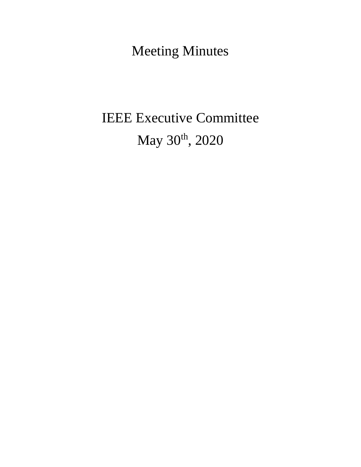Meeting Minutes

# IEEE Executive Committee May 30<sup>th</sup>, 2020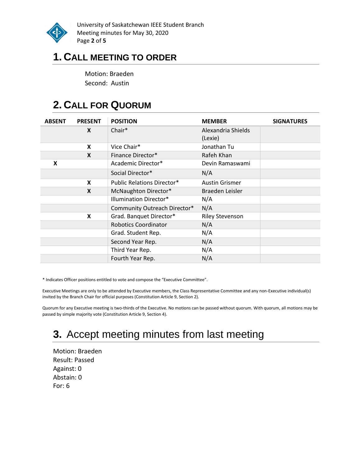

University of Saskatchewan IEEE Student Branch Meeting minutes for May 30, 2020 Page **2** of **5**

### **1. CALL MEETING TO ORDER**

Motion: Braeden Second: Austin

# **2. CALL FOR QUORUM**

| <b>ABSENT</b> | <b>PRESENT</b> | <b>POSITION</b>                   | <b>MEMBER</b>                 | <b>SIGNATURES</b> |
|---------------|----------------|-----------------------------------|-------------------------------|-------------------|
|               | X              | Chair*                            | Alexandria Shields<br>(Lexie) |                   |
|               | X              | Vice Chair*                       | Jonathan Tu                   |                   |
|               | X              | Finance Director*                 | Rafeh Khan                    |                   |
| X             |                | Academic Director*                | Devin Ramaswami               |                   |
|               |                | Social Director*                  | N/A                           |                   |
|               | X              | <b>Public Relations Director*</b> | <b>Austin Grismer</b>         |                   |
|               | X              | McNaughton Director*              | Braeden Leisler               |                   |
|               |                | <b>Illumination Director*</b>     | N/A                           |                   |
|               |                | Community Outreach Director*      | N/A                           |                   |
|               | X              | Grad. Banquet Director*           | <b>Riley Stevenson</b>        |                   |
|               |                | <b>Robotics Coordinator</b>       | N/A                           |                   |
|               |                | Grad. Student Rep.                | N/A                           |                   |
|               |                | Second Year Rep.                  | N/A                           |                   |
|               |                | Third Year Rep.                   | N/A                           |                   |
|               |                | Fourth Year Rep.                  | N/A                           |                   |

\* Indicates Officer positions entitled to vote and compose the "Executive Committee".

Executive Meetings are only to be attended by Executive members, the Class Representative Committee and any non-Executive individual(s) invited by the Branch Chair for official purposes (Constitution Article 9, Section 2).

Quorum for any Executive meeting is two-thirds of the Executive. No motions can be passed without quorum. With quorum, all motions may be passed by simple majority vote (Constitution Article 9, Section 4).

# **3.** Accept meeting minutes from last meeting

Motion: Braeden Result: Passed Against: 0 Abstain: 0 For: 6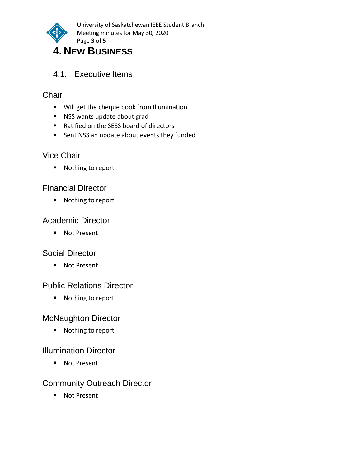

# 4.1. Executive Items

#### **Chair**

- Will get the cheque book from Illumination
- NSS wants update about grad
- Ratified on the SESS board of directors
- Sent NSS an update about events they funded

#### Vice Chair

■ Nothing to report

#### Financial Director

■ Nothing to report

#### Academic Director

■ Not Present

#### Social Director

■ Not Present

#### Public Relations Director

■ Nothing to report

#### McNaughton Director

■ Nothing to report

#### Illumination Director

■ Not Present

#### Community Outreach Director

■ Not Present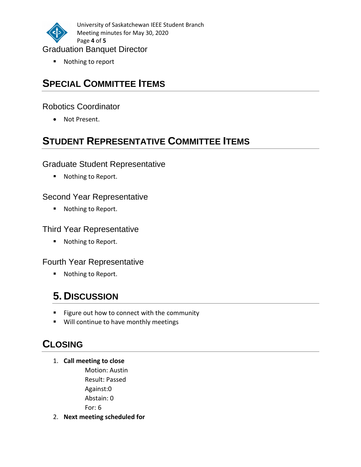

University of Saskatchewan IEEE Student Branch Meeting minutes for May 30, 2020 Page **4** of **5**

#### Graduation Banquet Director

■ Nothing to report

# **SPECIAL COMMITTEE ITEMS**

#### Robotics Coordinator

• Not Present.

# **STUDENT REPRESENTATIVE COMMITTEE ITEMS**

#### Graduate Student Representative

■ Nothing to Report.

#### Second Year Representative

■ Nothing to Report.

#### Third Year Representative

■ Nothing to Report.

#### Fourth Year Representative

■ Nothing to Report.

# **5. DISCUSSION**

- Figure out how to connect with the community
- Will continue to have monthly meetings

# **CLOSING**

1. **Call meeting to close**

Motion: Austin Result: Passed Against:0 Abstain: 0 For: 6

2. **Next meeting scheduled for**